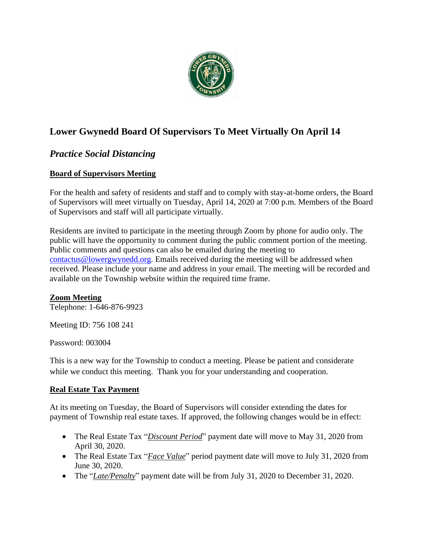

# **Lower Gwynedd Board Of Supervisors To Meet Virtually On April 14**

## *Practice Social Distancing*

### **Board of Supervisors Meeting**

For the health and safety of residents and staff and to comply with stay-at-home orders, the Board of Supervisors will meet virtually on Tuesday, April 14, 2020 at 7:00 p.m. Members of the Board of Supervisors and staff will all participate virtually.

Residents are invited to participate in the meeting through Zoom by phone for audio only. The public will have the opportunity to comment during the public comment portion of the meeting. Public comments and questions can also be emailed during the meeting to [contactus@lowergwynedd.org.](mailto:contactus@lowergwynedd.org) Emails received during the meeting will be addressed when received. Please include your name and address in your email. The meeting will be recorded and available on the Township website within the required time frame.

### **Zoom Meeting**

Telephone: 1-646-876-9923

Meeting ID: 756 108 241

Password: 003004

This is a new way for the Township to conduct a meeting. Please be patient and considerate while we conduct this meeting. Thank you for your understanding and cooperation.

### **Real Estate Tax Payment**

At its meeting on Tuesday, the Board of Supervisors will consider extending the dates for payment of Township real estate taxes. If approved, the following changes would be in effect:

- The Real Estate Tax "*Discount Period*" payment date will move to May 31, 2020 from April 30, 2020.
- The Real Estate Tax "*Face Value*" period payment date will move to July 31, 2020 from June 30, 2020.
- The "*Late/Penalty*" payment date will be from July 31, 2020 to December 31, 2020.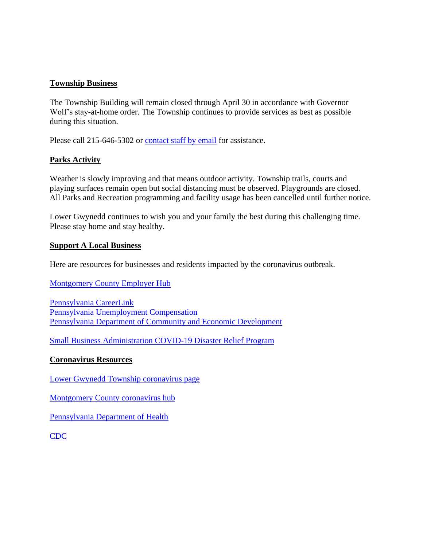#### **Township Business**

The Township Building will remain closed through April 30 in accordance with Governor Wolf's stay-at-home order. The Township continues to provide services as best as possible during this situation.

Please call 215-646-5302 or [contact staff by email](https://www.lowergwynedd.org/website-resources/contacts-directory.aspx) for assistance.

### **Parks Activity**

Weather is slowly improving and that means outdoor activity. Township trails, courts and playing surfaces remain open but social distancing must be observed. Playgrounds are closed. All Parks and Recreation programming and facility usage has been cancelled until further notice.

Lower Gwynedd continues to wish you and your family the best during this challenging time. Please stay home and stay healthy.

#### **Support A Local Business**

[Here are resources for businesses and residents impacted by the coronavirus outbreak.](https://data-montcopa.opendata.arcgis.com/pages/covid-19-business)

[Montgomery County Employer Hub](https://data-montcopa.opendata.arcgis.com/pages/covid-19-business)

[Pennsylvania](https://www.pacareerlink.pa.gov/jponline/) CareerLink [Pennsylvania Unemployment Compensation](https://www.uc.pa.gov/Pages/default.aspx) [Pennsylvania Department of Community and Economic Development](https://dced.pa.gov/resources/)

[Small Business Administration COVID-19 Disaster Relief Program](https://www.sba.gov/disaster-assistance/coronavirus-covid-19)

#### **Coronavirus Resources**

[Lower Gwynedd Township coronavirus page](https://www.lowergwynedd.org/general-information/covid-19-coronavirus.aspx)

[Montgomery County coronavirus hub](https://data-montcopa.opendata.arcgis.com/pages/covid-19)

[Pennsylvania Department of Health](https://www.health.pa.gov/topics/disease/coronavirus/Pages/Coronavirus.aspx)

[CDC](https://www.cdc.gov/coronavirus/2019-ncov/index.html)